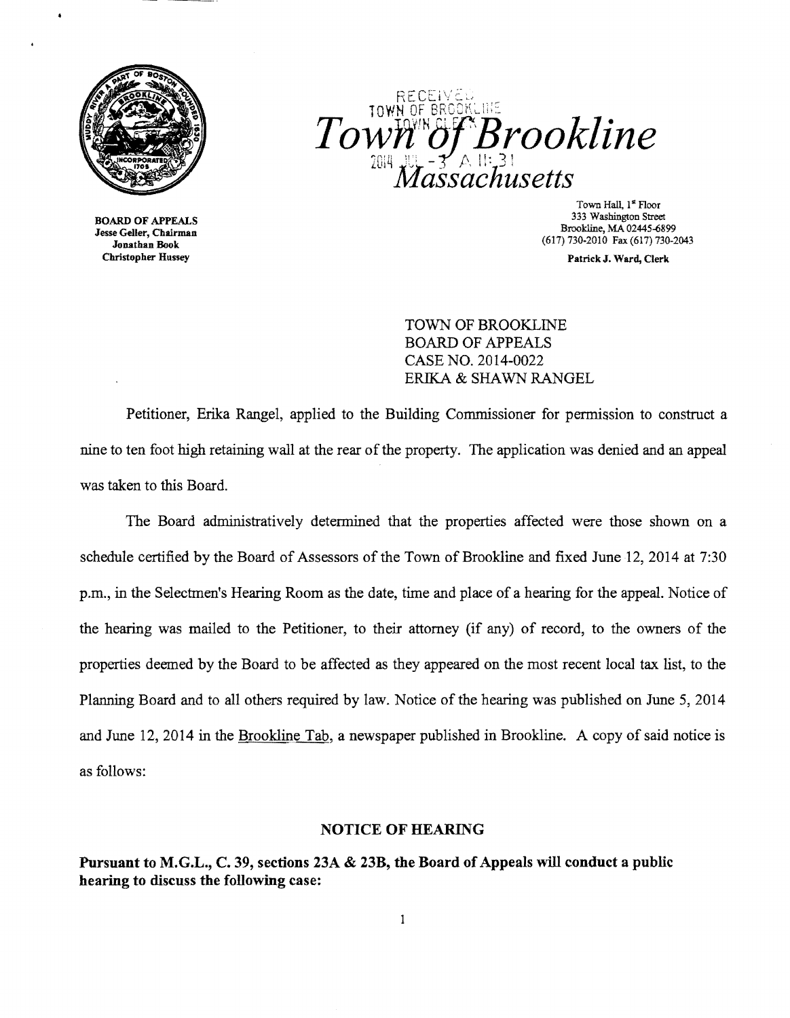

Christopher Hussey PatrickJ. Ward, Clerk



Town Hall, 1<sup>st</sup> Floor<br>333 Washington Street 333 Washington Street 333 Washington Street 333 Washington Street<br>
333 Washington Street<br>
333 Washington Street<br>
333 Washington Street<br>
333 Washington Street<br>
333 Washington Street<br>
333 Washington Street<br>
333 Washington St

TOWN OF BROOKLINE BOARD OF APPEALS CASE NO. 2014-0022 ERIKA & SHAWN RANGEL

Petitioner, Erika Rangel, applied to the Building Commissioner for permission to construct a nine to ten foot high retaining wall at the rear of the property. The application was denied and an appeal was taken to this Board.

The Board administratively determined that the properties affected were those shown on a schedule certified by the Board of Assessors of the Town of Brookline and fixed June 12, 2014 at 7:30 p.m., in the Selectmen's Hearing Room as the date, time and place of a hearing for the appeal. Notice of the hearing was mailed to the Petitioner, to their attorney (if any) of record, to the owners of the properties deemed by the Board to be affected as they appeared on the most recent local tax list, to the Planning Board and to all others required by law. Notice of the hearing was published on June 5, 2014 and June 12,2014 in the Brookline Tab, a newspaper published in Brookline. A copy of said notice is as follows:

## NOTICE OF HEARING

Pursuant to M.G.L., C. 39, sections 23A & 23B, the Board of Appeals will conduct a public hearing to discuss the following case: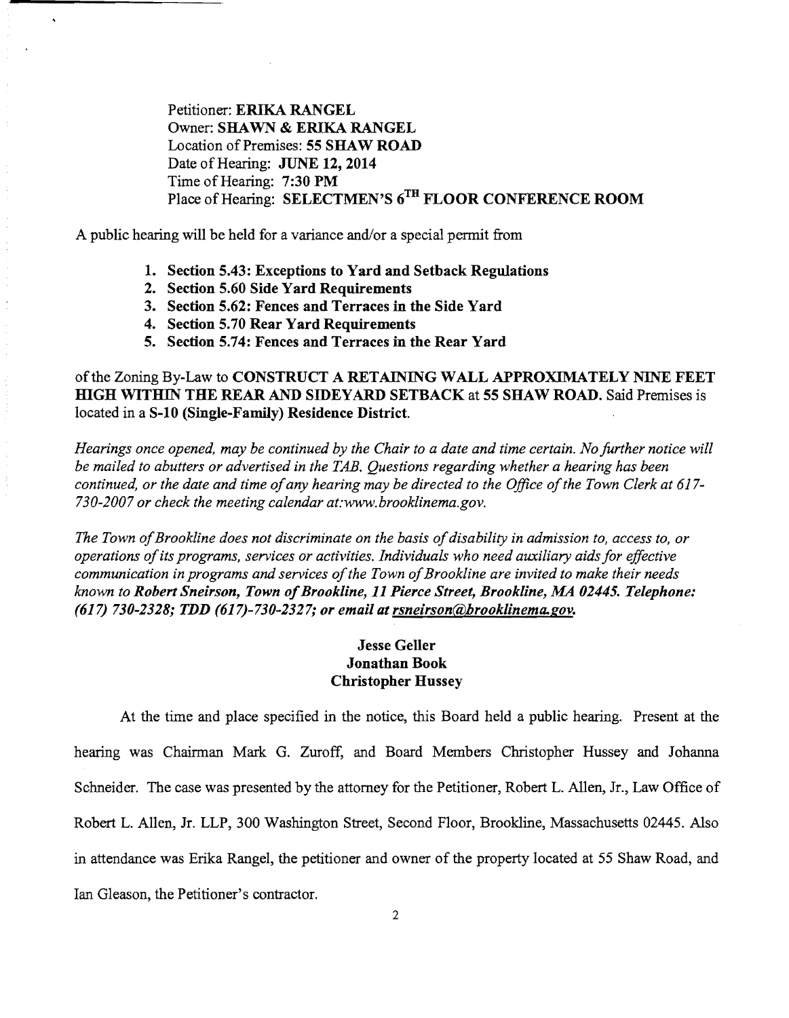Petitioner: ERIKA RANGEL Owner: SHAWN & ERIKA RANGEL Location of Premises: 55 SHAW ROAD Date of Hearing: JUNE 12, 2014 Time of Hearing: 7:30 PM Place of Hearing: SELECTMEN'S 6TH FLOOR CONFERENCE ROOM

A public hearing will be held for a variance and/or a special permit from

- 1. Section 5.43: Exceptions to Yard and Setback Regulations
- 2. Section 5.60 Side Yard Requirements
- 3. Section 5.62: Fences and Terraces in the Side Yard
- 4. Section 5.70 Rear Yard Requirements
- 5. Section 5.74: Fences and Terraces in the Rear Yard

## of the Zoning By-Law to CONSTRUCT A RETAINING WALL APPROXIMATELY NINE FEET HIGH WITHIN THE REAR AND SIDEYARD SETBACK at 55 SHAW ROAD. Said Premises is located in a S-10 (Single-Family) Residence District.

*Hearings once opened, may be continued by the Chair to a date and time certain. No further notice will be mailed to abutters or advertised in the TAB. Questions regarding whether a hearing has been continued, or the date and time of any hearing may be directed to the Office of the Town Clerk at 617-730-2007 or check the meeting calendar at:www.brooklinema.gov.* 

The Town of Brookline does not discriminate on the basis of disability in admission to, access to, or *operations ofits programs, services or activities. Individuals who need auxiliary aids for effective communication in programs and services of the Town of Brookline are invited to make their needs known to Robert Sneirson, Town of Brookline, 11 Pierce Street, Brookline, MA 02445. Telephone: (617) 730-2328; TDD (617)-730-2327; or email at rsneirson@brooklinema.gov.* 

## Jesse Geller Jonathan Book Christopher Hussey

At the time and place specified in the notice, this Board held a public hearing. Present at the hearing was Chairman Mark G. Zuroff, and Board Members Christopher Hussey and Johanna Schneider. The case was presented by the attorney for the Petitioner, Robert L. Allen, Jr., Law Office of Robert L. Allen, Jr. LLP, 300 Washington Street, Second Floor, Brookline, Massachusetts 02445. Also in attendance was Erika Rangel, the petitioner and owner of the property located at 55 Shaw Road, and Ian Gleason, the Petitioner's contractor.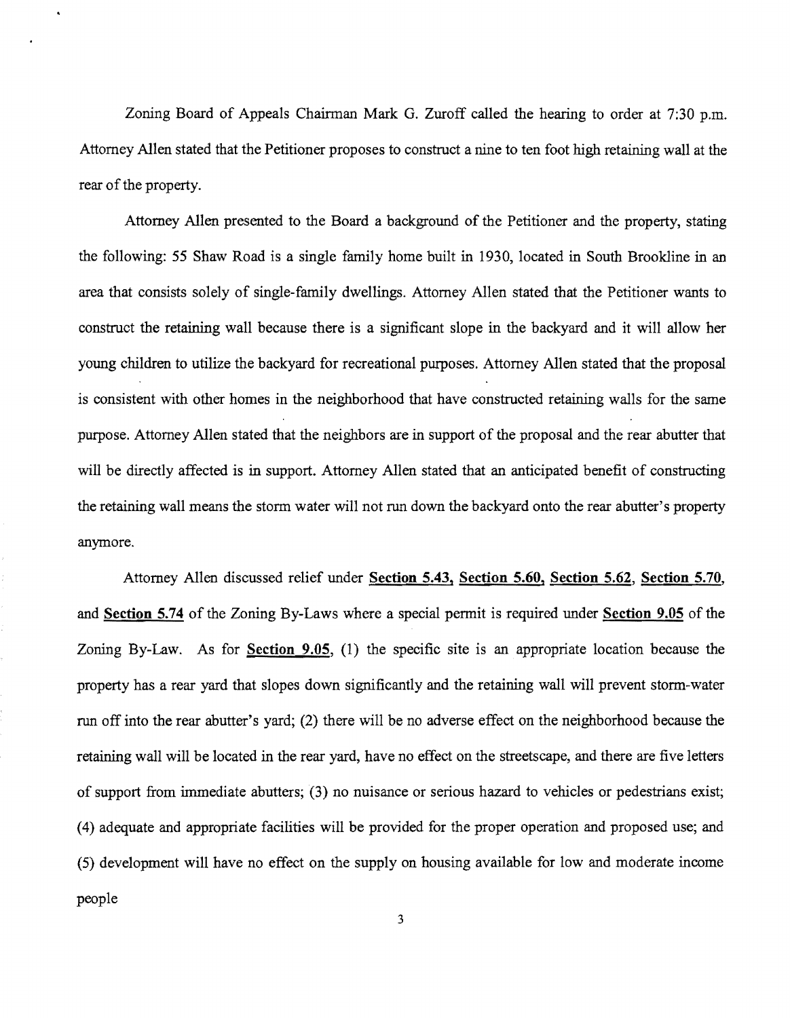Zoning Board of Appeals Chairman Mark G. Zuroff called the hearing to order at 7:30 p.m. Attorney Allen stated that the Petitioner proposes to construct a nine to ten foot high retaining wall at the rear of the property.

Attorney Allen presented to the Board a background of the Petitioner and the property, stating the following: 55 Shaw Road is a single family home built in 1930, located in South Brookline in an area that consists solely of single-family dwellings. Attorney Allen stated that the Petitioner wants to construct the retaining wall because there is a significant slope in the backyard and it will allow her young children to utilize the backyard for recreational purposes. Attorney Allen stated that the proposal is consistent with other homes in the neighborhood that have constructed retaining walls for the same purpose. Attorney Allen stated that the neighbors are in support of the proposal and the rear abutter that will be directly affected is in support. Attorney Allen stated that an anticipated benefit of constructing the retaining wall means the storm water will not run down the backyard onto the rear abutter's property anymore.

Attorney Allen discussed relief under Section 5.43, Section 5.60, Section 5.62, Section 5.70, and Section 5.74 of the Zoning By-Laws where a special permit is required under Section 9.05 of the Zoning By-Law. As for **Section 9.05**, (1) the specific site is an appropriate location because the property has a rear yard that slopes down significantly and the retaining wall will prevent storm-water run off into the rear abutter's yard; (2) there will be no adverse effect on the neighborhood because the retaining wall will be located in the rear yard, have no effect on the streets cape, and there are five letters of support from immediate abutters; (3) no nuisance or serious hazard to vehicles or pedestrians exist; (4) adequate and appropriate facilities will be provided for the proper operation and proposed use; and (5) development will have no effect on the supply on housing available for low and moderate income people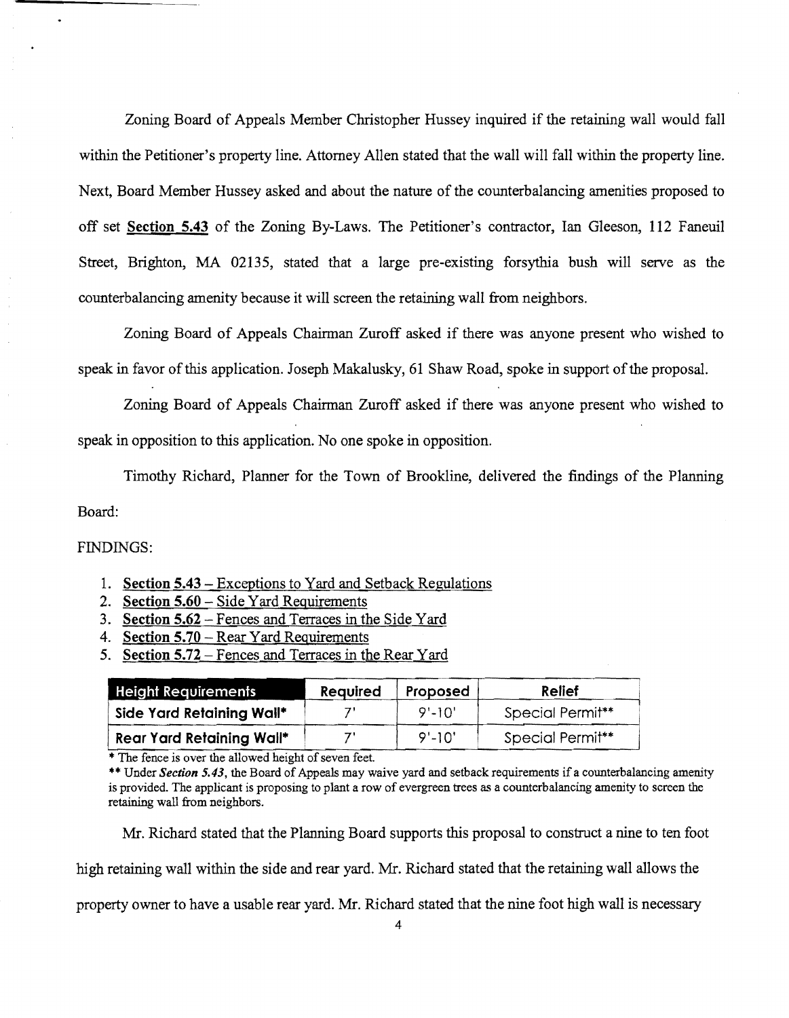Zoning Board of Appeals Member Christopher Hussey inquired if the retaining wall would fall within the Petitioner's property line. Attorney Allen stated that the wall will fall within the property line. Next, Board Member Hussey asked and about the nature of the counterbalancing amenities proposed to off set **Section 5.43** of the Zoning By-Laws. The Petitioner's contractor, Ian Gleeson, 112 Faneuil Street, Brighton, MA 02135, stated that a large pre-existing forsythia bush will serve as the counterbalancing amenity because it will screen the retaining wall from neighbors.

Zoning Board of Appeals Chairman Zuroff asked if there was anyone present who wished to speak in favor of this application. Joseph Makalusky, 61 Shaw Road, spoke in support of the proposal.

Zoning Board of Appeals Chairman Zuroff asked if there was anyone present who wished to speak in opposition to this application. No one spoke in opposition.

Timothy Richard, Planner for the Town of Brookline, delivered the findings of the Planning Board:

## FINDINGS:

- 1. **Section 5.43**  Exceptions to Yard and Setback Regulations
- 2. **Section 5.60**  Side Yard Requirements
- 3. **Section 5.62**  Fences and Terraces in the Side Yard
- 4. **Section 5.70**  Rear Yard Requirements
- 5. **Section 5.72**  Fences and Terraces in the Rear Yard

| <b>Height Requirements</b>       | Required | Proposed   | Relief           |
|----------------------------------|----------|------------|------------------|
| Side Yard Retaining Wall*        |          | $9' - 10'$ | Special Permit** |
| <b>Rear Yard Retaining Wall*</b> |          | $9' - 10'$ | Special Permit** |

 $\overline{\bullet}$ . The fence is over the allowed height of seven feet.

\*\* Under *Section 5.43*, the Board of Appeals may waive yard and setback requirements if a counterbalancing amenity is provided. The applicant is proposing to plant a row of evergreen trees as a counterbalancing amenity to screen the retaining wall from neighbors.

Mr. Richard stated that the Planning Board supports this proposal to construct a nine to ten foot

high retaining wall within the side and rear yard. Mr. Richard stated that the retaining wall allows the

property owner to have a usable rear yard. Mr. Richard stated that the nine foot high wall is necessary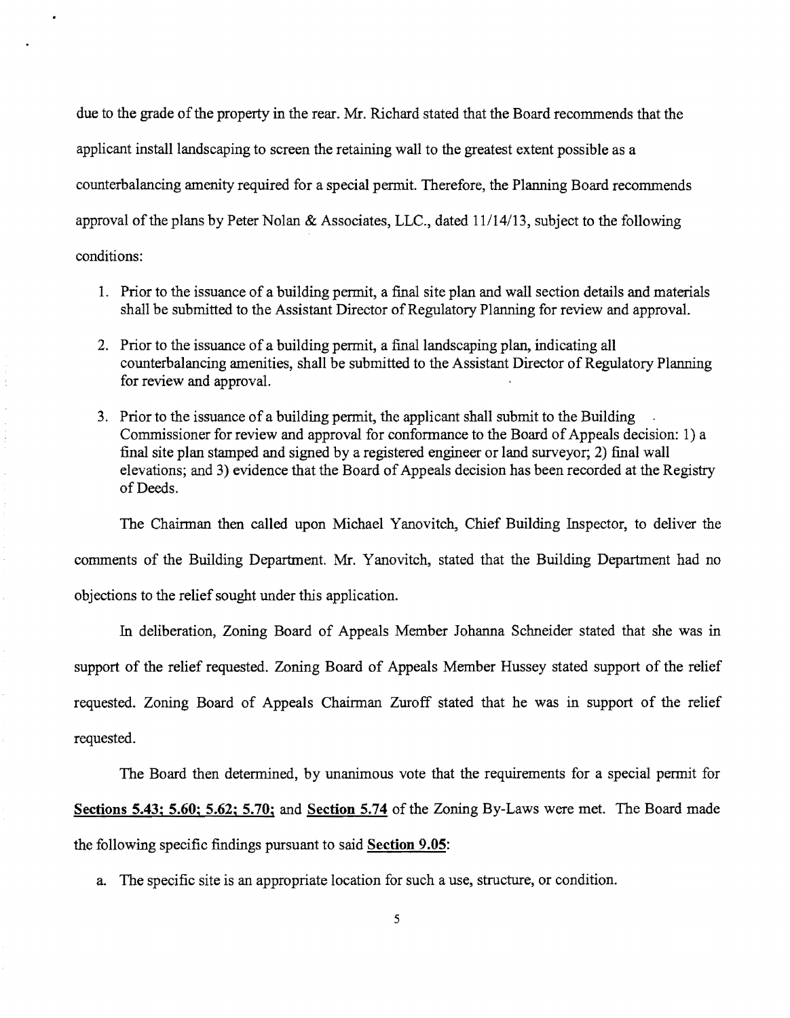due to the grade of the property in the rear. Mr. Richard stated that the Board recommends that the applicant install landscaping to screen the retaining wall to the greatest extent possible as a counterbalancing amenity required for a special pennit. Therefore, the Planning Board recommends approval of the plans by Peter Nolan & Associates, LLC., dated  $11/14/13$ , subject to the following conditions:

- 1. Prior to the issuance of a building permit, a final site plan and wall section details and materials shall be submitted to the Assistant Director of Regulatory Planning for review and approval.
- 2. Prior to the issuance of a building permit, a final landscaping plan, indicating all counterbalancing amenities, shall be submitted to the Assistant Director of Regulatory Planning for review and approval.
- 3. Prior to the issuance of a building permit, the applicant shall submit to the Building Commissioner for review and approval for conformance to the Board of Appeals decision: 1) a final site plan stamped and signed by a registered engineer or land surveyor; 2) final wall elevations; and 3) evidence that the Board of Appeals decision has been recorded at the Registry of Deeds.

The Chairman then called upon Michael Yanovitch, Chief Building Inspector, to deliver the comments of the Building Department. Mr. Yanovitch, stated that the Building Department had no objections to the relief sought under this application.

In deliberation, Zoning Board of Appeals Member Johanna Schneider stated that she was in support of the relief requested. Zoning Board of Appeals Member Hussey stated support of the relief requested. Zoning Board of Appeals Chairman Zuroff stated that he was in support of the relief requested.

The Board then detennined, by unanimous vote that the requirements for a special permit for Sections 5.43; 5.60; 5.62; 5.70; and Section 5.74 of the Zoning By-Laws were met. The Board made the following specific findings pursuant to said Section 9.05:

a. The specific site is an appropriate location for such a use, structure, or condition.